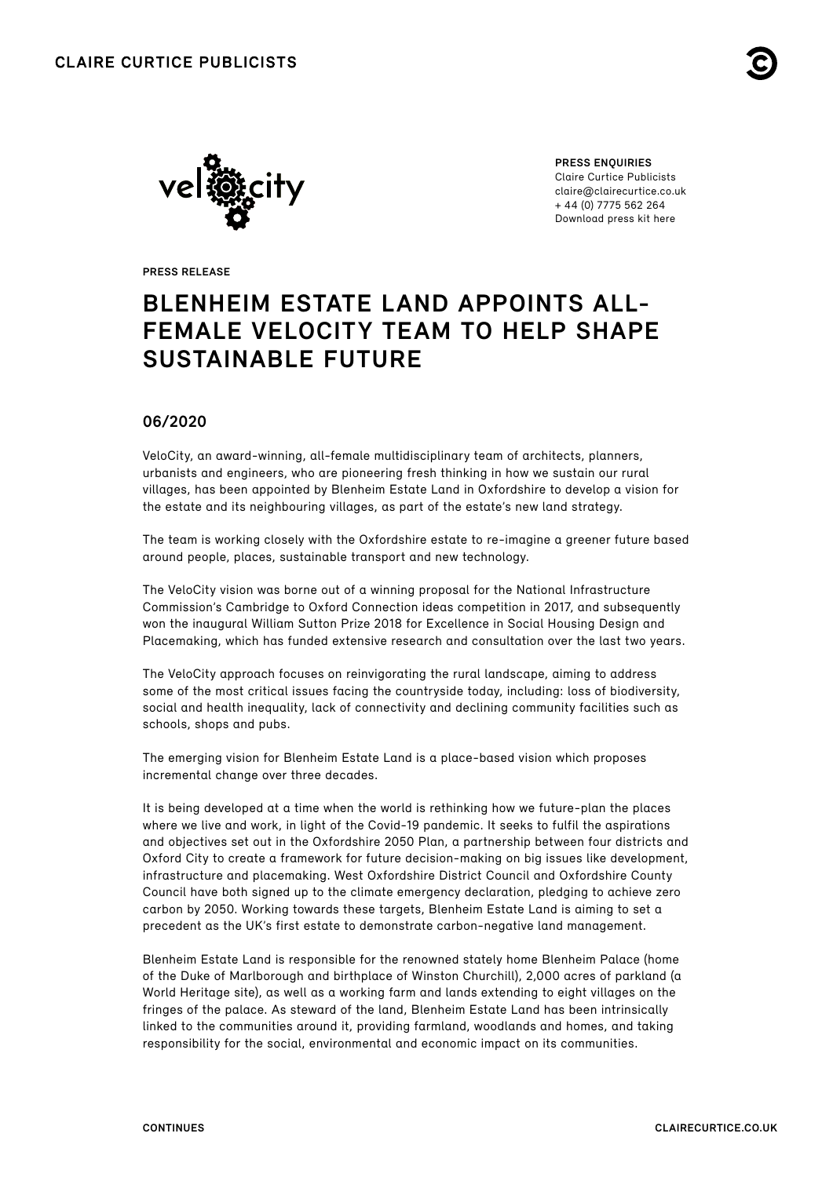



**PRESS ENQUIRIES** Claire Curtice Publicists claire@clairecurtice.co.uk + 44 (0) 7775 562 264 [Download press kit here](https://www.dropbox.com/sh/7ncosf2mpuufvlk/AAA3VRf_eQqrxgyGI9pa5fLca?dl=0)

**PRESS RELEASE**

# **BLENHEIM ESTATE LAND APPOINTS ALL-FEMALE VELOCITY TEAM TO HELP SHAPE SUSTAINABLE FUTURE**

# **06/2020**

VeloCity, an award-winning, all-female multidisciplinary team of architects, planners, urbanists and engineers, who are pioneering fresh thinking in how we sustain our rural villages, has been appointed by Blenheim Estate Land in Oxfordshire to develop a vision for the estate and its neighbouring villages, as part of the estate's new land strategy.

The team is working closely with the Oxfordshire estate to re-imagine a greener future based around people, places, sustainable transport and new technology.

The VeloCity vision was borne out of a winning proposal for the National Infrastructure Commission's Cambridge to Oxford Connection ideas competition in 2017, and subsequently won the inaugural William Sutton Prize 2018 for Excellence in Social Housing Design and Placemaking, which has funded extensive research and consultation over the last two years.

The VeloCity approach focuses on reinvigorating the rural landscape, aiming to address some of the most critical issues facing the countryside today, including: loss of biodiversity, social and health inequality, lack of connectivity and declining community facilities such as schools, shops and pubs.

The emerging vision for Blenheim Estate Land is a place-based vision which proposes incremental change over three decades.

It is being developed at a time when the world is rethinking how we future-plan the places where we live and work, in light of the Covid-19 pandemic. It seeks to fulfil the aspirations and objectives set out in the Oxfordshire 2050 Plan, a partnership between four districts and Oxford City to create a framework for future decision-making on big issues like development, infrastructure and placemaking. West Oxfordshire District Council and Oxfordshire County Council have both signed up to the climate emergency declaration, pledging to achieve zero carbon by 2050. Working towards these targets, Blenheim Estate Land is aiming to set a precedent as the UK's first estate to demonstrate carbon-negative land management.

Blenheim Estate Land is responsible for the renowned stately home Blenheim Palace (home of the Duke of Marlborough and birthplace of Winston Churchill), 2,000 acres of parkland (a World Heritage site), as well as a working farm and lands extending to eight villages on the fringes of the palace. As steward of the land, Blenheim Estate Land has been intrinsically linked to the communities around it, providing farmland, woodlands and homes, and taking responsibility for the social, environmental and economic impact on its communities.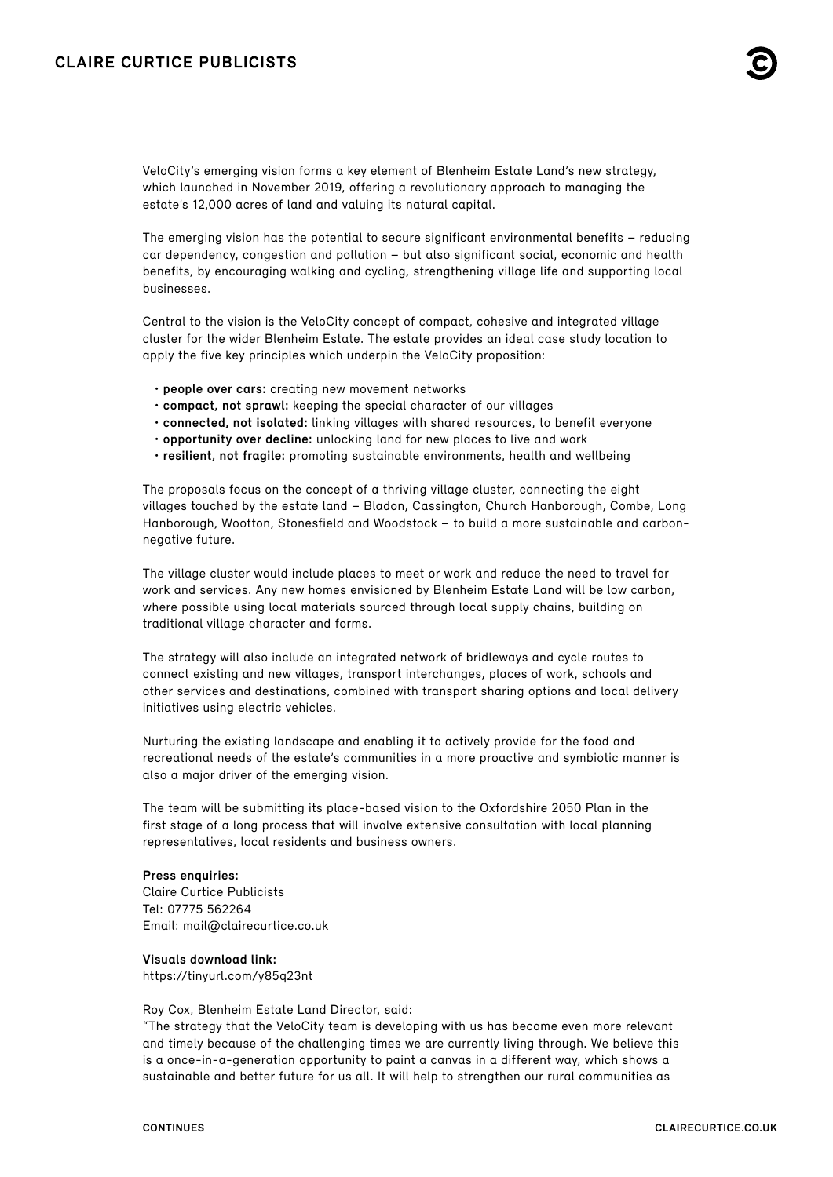VeloCity's emerging vision forms a key element of Blenheim Estate Land's new strategy, which launched in November 2019, offering a revolutionary approach to managing the estate's 12,000 acres of land and valuing its natural capital.

The emerging vision has the potential to secure significant environmental benefits – reducing car dependency, congestion and pollution – but also significant social, economic and health benefits, by encouraging walking and cycling, strengthening village life and supporting local businesses.

Central to the vision is the VeloCity concept of compact, cohesive and integrated village cluster for the wider Blenheim Estate. The estate provides an ideal case study location to apply the five key principles which underpin the VeloCity proposition:

- **people over cars:** creating new movement networks
- **compact, not sprawl:** keeping the special character of our villages
- **connected, not isolated:** linking villages with shared resources, to benefit everyone
- **opportunity over decline:** unlocking land for new places to live and work
- **resilient, not fragile:** promoting sustainable environments, health and wellbeing

The proposals focus on the concept of a thriving village cluster, connecting the eight villages touched by the estate land – Bladon, Cassington, Church Hanborough, Combe, Long Hanborough, Wootton, Stonesfield and Woodstock – to build a more sustainable and carbonnegative future.

The village cluster would include places to meet or work and reduce the need to travel for work and services. Any new homes envisioned by Blenheim Estate Land will be low carbon, where possible using local materials sourced through local supply chains, building on traditional village character and forms.

The strategy will also include an integrated network of bridleways and cycle routes to connect existing and new villages, transport interchanges, places of work, schools and other services and destinations, combined with transport sharing options and local delivery initiatives using electric vehicles.

Nurturing the existing landscape and enabling it to actively provide for the food and recreational needs of the estate's communities in a more proactive and symbiotic manner is also a major driver of the emerging vision.

The team will be submitting its place-based vision to the Oxfordshire 2050 Plan in the first stage of a long process that will involve extensive consultation with local planning representatives, local residents and business owners.

## **Press enquiries:**

Claire Curtice Publicists Tel: 07775 562264 Email: [mail@clairecurtice.co.uk](mailto:mail@clairecurtice.co.uk)

# **Visuals download link:**

<https://tinyurl.com/y85q23nt>

Roy Cox, Blenheim Estate Land Director, said:

"The strategy that the VeloCity team is developing with us has become even more relevant and timely because of the challenging times we are currently living through. We believe this is a once-in-a-generation opportunity to paint a canvas in a different way, which shows a sustainable and better future for us all. It will help to strengthen our rural communities as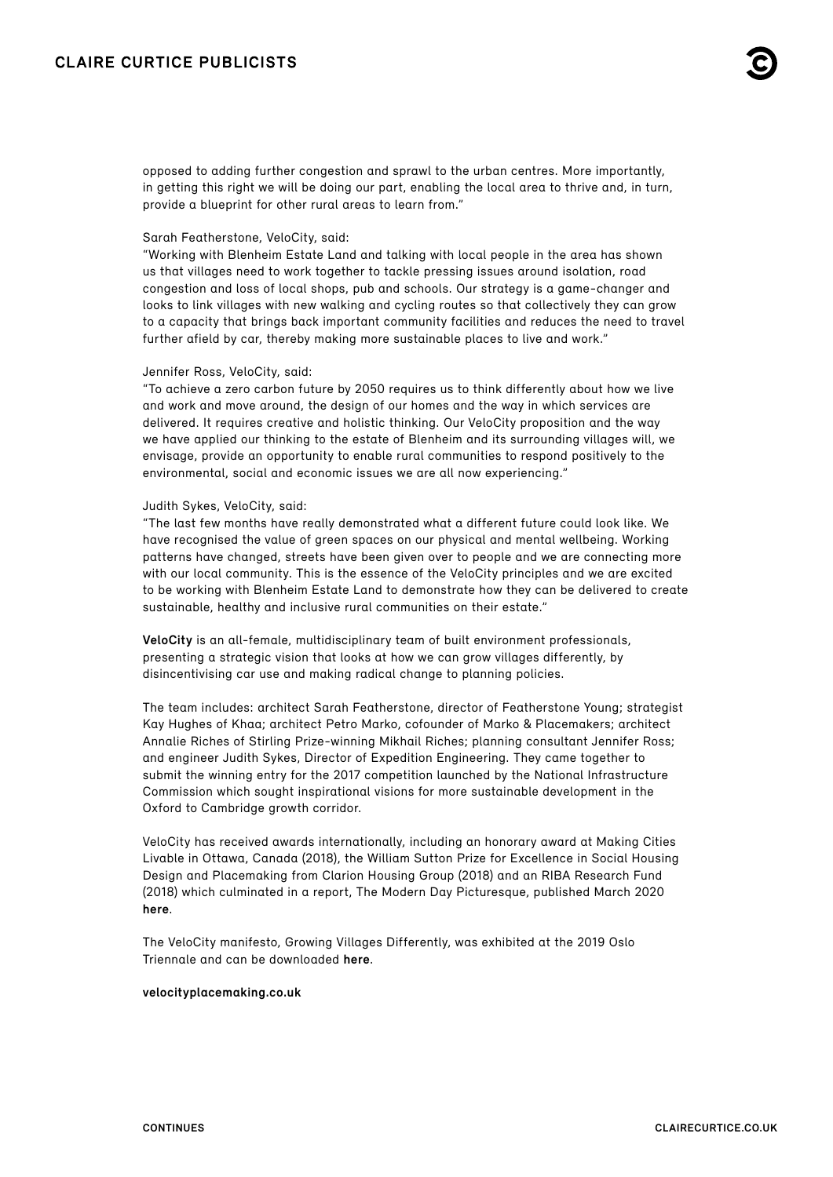opposed to adding further congestion and sprawl to the urban centres. More importantly, in getting this right we will be doing our part, enabling the local area to thrive and, in turn, provide a blueprint for other rural areas to learn from."

## Sarah Featherstone, VeloCity, said:

"Working with Blenheim Estate Land and talking with local people in the area has shown us that villages need to work together to tackle pressing issues around isolation, road congestion and loss of local shops, pub and schools. Our strategy is a game-changer and looks to link villages with new walking and cycling routes so that collectively they can grow to a capacity that brings back important community facilities and reduces the need to travel further afield by car, thereby making more sustainable places to live and work."

#### Jennifer Ross, VeloCity, said:

"To achieve a zero carbon future by 2050 requires us to think differently about how we live and work and move around, the design of our homes and the way in which services are delivered. It requires creative and holistic thinking. Our VeloCity proposition and the way we have applied our thinking to the estate of Blenheim and its surrounding villages will, we envisage, provide an opportunity to enable rural communities to respond positively to the environmental, social and economic issues we are all now experiencing."

#### Judith Sykes, VeloCity, said:

"The last few months have really demonstrated what a different future could look like. We have recognised the value of green spaces on our physical and mental wellbeing. Working patterns have changed, streets have been given over to people and we are connecting more with our local community. This is the essence of the VeloCity principles and we are excited to be working with Blenheim Estate Land to demonstrate how they can be delivered to create sustainable, healthy and inclusive rural communities on their estate."

**VeloCity** is an all-female, multidisciplinary team of built environment professionals, presenting a strategic vision that looks at how we can grow villages differently, by disincentivising car use and making radical change to planning policies.

The team includes: architect Sarah Featherstone, director of Featherstone Young; strategist Kay Hughes of Khaa; architect Petro Marko, cofounder of Marko & Placemakers; architect Annalie Riches of Stirling Prize-winning Mikhail Riches; planning consultant Jennifer Ross; and engineer Judith Sykes, Director of Expedition Engineering. They came together to submit the winning entry for the 2017 competition launched by the National Infrastructure Commission which sought inspirational visions for more sustainable development in the Oxford to Cambridge growth corridor.

VeloCity has received awards internationally, including an honorary award at Making Cities Livable in Ottawa, Canada (2018), the William Sutton Prize for Excellence in Social Housing Design and Placemaking from Clarion Housing Group (2018) and an RIBA Research Fund (2018) which culminated in a report, The Modern Day Picturesque, published March 2020 **[here](https://velocity651476576.files.wordpress.com/2020/03/velocity_modern-day-picturesque_final.pdf)**.

The VeloCity manifesto, Growing Villages Differently, was exhibited at the 2019 Oslo Triennale and can be downloaded **[here](https://velocity651476576.files.wordpress.com/2020/05/velocity_manifesto_may2020.pdf)**.

## **[velocityplacemaking.co.uk](https://velocityplacemaking.co.uk)**